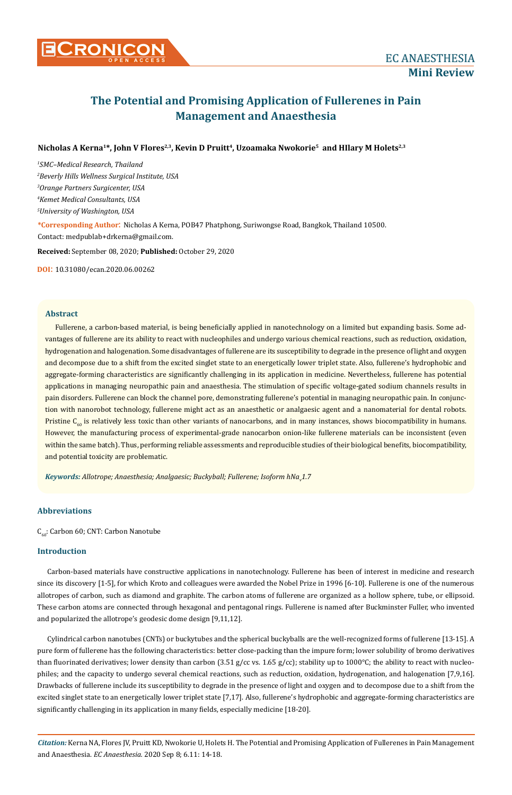

# **The Potential and Promising Application of Fullerenes in Pain Management and Anaesthesia**

# Nicholas A Kerna<sup>1\*</sup>, John V Flores<sup>2,3</sup>, Kevin D Pruitt<sup>4</sup>, Uzoamaka Nwokorie<sup>5</sup> and HIlary M Holets<sup>2,3</sup>

 *SMC–Medical Research, Thailand Beverly Hills Wellness Surgical Institute, USA Orange Partners Surgicenter, USA Kemet Medical Consultants, USA University of Washington, USA* **\*Corresponding Author**: Nicholas A Kerna, POB47 Phatphong, Suriwongse Road, Bangkok, Thailand 10500. Contact: medpublab+drkerna@gmail.com.

**Received:** September 08, 2020; **Published:** October 29, 2020

**DOI**: 10.31080/ecan.2020.06.00262

## **Abstract**

Fullerene, a carbon-based material, is being beneficially applied in nanotechnology on a limited but expanding basis. Some advantages of fullerene are its ability to react with nucleophiles and undergo various chemical reactions, such as reduction, oxidation, hydrogenation and halogenation. Some disadvantages of fullerene are its susceptibility to degrade in the presence of light and oxygen and decompose due to a shift from the excited singlet state to an energetically lower triplet state. Also, fullerene's hydrophobic and aggregate-forming characteristics are significantly challenging in its application in medicine. Nevertheless, fullerene has potential applications in managing neuropathic pain and anaesthesia. The stimulation of specific voltage-gated sodium channels results in pain disorders. Fullerene can block the channel pore, demonstrating fullerene's potential in managing neuropathic pain. In conjunction with nanorobot technology, fullerene might act as an anaesthetic or analgaesic agent and a nanomaterial for dental robots. Pristine  $C_{60}$  is relatively less toxic than other variants of nanocarbons, and in many instances, shows biocompatibility in humans. However, the manufacturing process of experimental-grade nanocarbon onion-like fullerene materials can be inconsistent (even within the same batch). Thus, performing reliable assessments and reproducible studies of their biological benefits, biocompatibility, and potential toxicity are problematic.

Keywords: Allotrope; Anaesthesia; Analgaesic; Buckyball; Fullerene; Isoform hNa<sub>v</sub>1.7

# **Abbreviations**

 $C_{60}$ : Carbon 60; CNT: Carbon Nanotube

# **Introduction**

Carbon-based materials have constructive applications in nanotechnology. Fullerene has been of interest in medicine and research since its discovery [1-5], for which Kroto and colleagues were awarded the Nobel Prize in 1996 [6-10]. Fullerene is one of the numerous allotropes of carbon, such as diamond and graphite. The carbon atoms of fullerene are organized as a hollow sphere, tube, or ellipsoid. These carbon atoms are connected through hexagonal and pentagonal rings. Fullerene is named after Buckminster Fuller, who invented and popularized the allotrope's geodesic dome design [9,11,12].

Cylindrical carbon nanotubes (CNTs) or buckytubes and the spherical buckyballs are the well-recognized forms of fullerene [13-15]. A pure form of fullerene has the following characteristics: better close-packing than the impure form; lower solubility of bromo derivatives than fluorinated derivatives; lower density than carbon  $(3.51 g/cc \text{ vs. } 1.65 g/cc)$ ; stability up to  $1000^{\circ}C$ ; the ability to react with nucleophiles; and the capacity to undergo several chemical reactions, such as reduction, oxidation, hydrogenation, and halogenation [7,9,16]. Drawbacks of fullerene include its susceptibility to degrade in the presence of light and oxygen and to decompose due to a shift from the excited singlet state to an energetically lower triplet state [7,17]. Also, fullerene's hydrophobic and aggregate-forming characteristics are significantly challenging in its application in many fields, especially medicine [18-20].

*Citation:* Kerna NA, Flores JV, Pruitt KD, Nwokorie U, Holets H. The Potential and Promising Application of Fullerenes in Pain Management and Anaesthesia. *EC Anaesthesia.* 2020 Sep 8; 6.11: 14-18.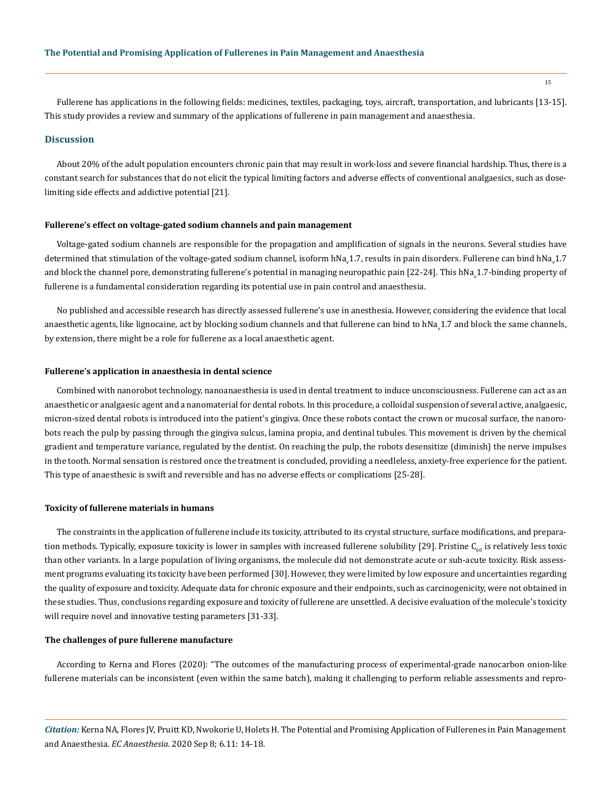Fullerene has applications in the following fields: medicines, textiles, packaging, toys, aircraft, transportation, and lubricants [13-15]. This study provides a review and summary of the applications of fullerene in pain management and anaesthesia.

## **Discussion**

About 20% of the adult population encounters chronic pain that may result in work-loss and severe financial hardship. Thus, there is a constant search for substances that do not elicit the typical limiting factors and adverse effects of conventional analgaesics, such as doselimiting side effects and addictive potential [21].

#### **Fullerene's effect on voltage-gated sodium channels and pain management**

Voltage-gated sodium channels are responsible for the propagation and amplification of signals in the neurons. Several studies have determined that stimulation of the voltage-gated sodium channel, isoform hNa<sub>v</sub>1.7, results in pain disorders. Fullerene can bind hNa<sub>v</sub>1.7 and block the channel pore, demonstrating fullerene's potential in managing neuropathic pain [22-24]. This hNa<sub>v</sub>1.7-binding property of fullerene is a fundamental consideration regarding its potential use in pain control and anaesthesia.

No published and accessible research has directly assessed fullerene's use in anesthesia. However, considering the evidence that local anaesthetic agents, like lignocaine, act by blocking sodium channels and that fullerene can bind to hNa<sub>v</sub>1.7 and block the same channels, by extension, there might be a role for fullerene as a local anaesthetic agent.

#### **Fullerene's application in anaesthesia in dental science**

Combined with nanorobot technology, nanoanaesthesia is used in dental treatment to induce unconsciousness. Fullerene can act as an anaesthetic or analgaesic agent and a nanomaterial for dental robots. In this procedure, a colloidal suspension of several active, analgaesic, micron-sized dental robots is introduced into the patient's gingiva. Once these robots contact the crown or mucosal surface, the nanorobots reach the pulp by passing through the gingiva sulcus, lamina propia, and dentinal tubules. This movement is driven by the chemical gradient and temperature variance, regulated by the dentist. On reaching the pulp, the robots desensitize (diminish) the nerve impulses in the tooth. Normal sensation is restored once the treatment is concluded, providing a needleless, anxiety-free experience for the patient. This type of anaesthesic is swift and reversible and has no adverse effects or complications [25-28].

#### **Toxicity of fullerene materials in humans**

The constraints in the application of fullerene include its toxicity, attributed to its crystal structure, surface modifications, and preparation methods. Typically, exposure toxicity is lower in samples with increased fullerene solubility [29]. Pristine  $C_{60}$  is relatively less toxic than other variants. In a large population of living organisms, the molecule did not demonstrate acute or sub-acute toxicity. Risk assessment programs evaluating its toxicity have been performed [30]. However, they were limited by low exposure and uncertainties regarding the quality of exposure and toxicity. Adequate data for chronic exposure and their endpoints, such as carcinogenicity, were not obtained in these studies. Thus, conclusions regarding exposure and toxicity of fullerene are unsettled. A decisive evaluation of the molecule's toxicity will require novel and innovative testing parameters [31-33].

#### **The challenges of pure fullerene manufacture**

According to Kerna and Flores (2020): "The outcomes of the manufacturing process of experimental-grade nanocarbon onion-like fullerene materials can be inconsistent (even within the same batch), making it challenging to perform reliable assessments and repro-

*Citation:* Kerna NA, Flores JV, Pruitt KD, Nwokorie U, Holets H. The Potential and Promising Application of Fullerenes in Pain Management and Anaesthesia. *EC Anaesthesia.* 2020 Sep 8; 6.11: 14-18.

15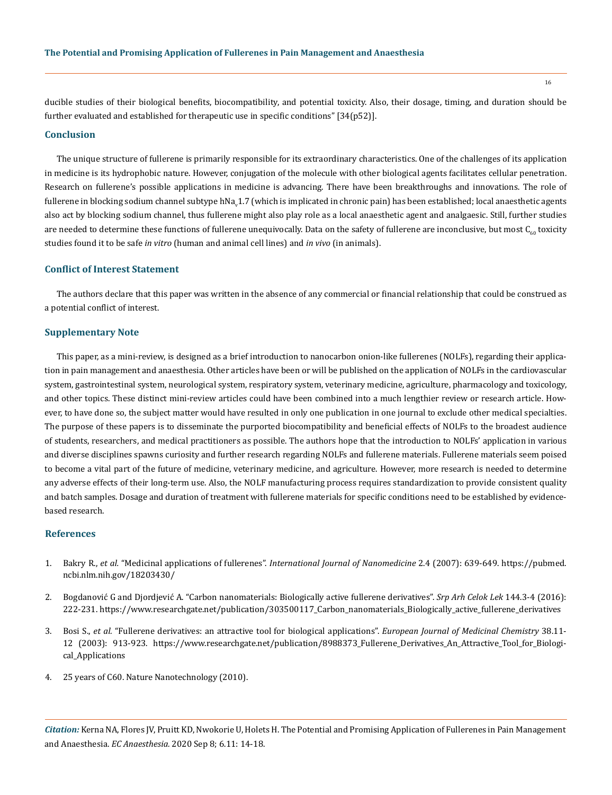ducible studies of their biological benefits, biocompatibility, and potential toxicity. Also, their dosage, timing, and duration should be further evaluated and established for therapeutic use in specific conditions" [34(p52)].

## **Conclusion**

The unique structure of fullerene is primarily responsible for its extraordinary characteristics. One of the challenges of its application in medicine is its hydrophobic nature. However, conjugation of the molecule with other biological agents facilitates cellular penetration. Research on fullerene's possible applications in medicine is advancing. There have been breakthroughs and innovations. The role of fullerene in blocking sodium channel subtype hNa $_{\rm v}$ 1.7 (which is implicated in chronic pain) has been established; local anaesthetic agents also act by blocking sodium channel, thus fullerene might also play role as a local anaesthetic agent and analgaesic. Still, further studies are needed to determine these functions of fullerene unequivocally. Data on the safety of fullerene are inconclusive, but most  $C_{60}$  toxicity studies found it to be safe *in vitro* (human and animal cell lines) and *in vivo* (in animals).

## **Conflict of Interest Statement**

The authors declare that this paper was written in the absence of any commercial or financial relationship that could be construed as a potential conflict of interest.

## **Supplementary Note**

This paper, as a mini-review, is designed as a brief introduction to nanocarbon onion-like fullerenes (NOLFs), regarding their application in pain management and anaesthesia. Other articles have been or will be published on the application of NOLFs in the cardiovascular system, gastrointestinal system, neurological system, respiratory system, veterinary medicine, agriculture, pharmacology and toxicology, and other topics. These distinct mini-review articles could have been combined into a much lengthier review or research article. However, to have done so, the subject matter would have resulted in only one publication in one journal to exclude other medical specialties. The purpose of these papers is to disseminate the purported biocompatibility and beneficial effects of NOLFs to the broadest audience of students, researchers, and medical practitioners as possible. The authors hope that the introduction to NOLFs' application in various and diverse disciplines spawns curiosity and further research regarding NOLFs and fullerene materials. Fullerene materials seem poised to become a vital part of the future of medicine, veterinary medicine, and agriculture. However, more research is needed to determine any adverse effects of their long-term use. Also, the NOLF manufacturing process requires standardization to provide consistent quality and batch samples. Dosage and duration of treatment with fullerene materials for specific conditions need to be established by evidencebased research.

## **References**

- 1. Bakry R., *et al.* "Medicinal applications of fullerenes". *[International Journal of Nanomedicine](https://pubmed.ncbi.nlm.nih.gov/18203430/)* 2.4 (2007): 639-649. https://pubmed. ncbi.nlm.nih.gov/18203430/
- 2. [Bogdanović G and Djordjević A. "Carbon nanomaterials: Biologically active fullerene derivatives".](https://www.researchgate.net/publication/303500117_Carbon_nanomaterials_Biologically_active_fullerene_derivatives) *Srp Arh Celok Lek* 144.3-4 (2016): [222-231.](https://www.researchgate.net/publication/303500117_Carbon_nanomaterials_Biologically_active_fullerene_derivatives) https://www.researchgate.net/publication/303500117\_Carbon\_nanomaterials\_Biologically\_active\_fullerene\_derivatives
- 3. Bosi S., *et al.* ["Fullerene derivatives: an attractive tool for biological applications".](https://www.researchgate.net/publication/8988373_Fullerene_Derivatives_An_Attractive_Tool_for_Biological_Applications) *European Journal of Medicinal Chemistry* 38.11- [12 \(2003\): 913-923.](https://www.researchgate.net/publication/8988373_Fullerene_Derivatives_An_Attractive_Tool_for_Biological_Applications) https://www.researchgate.net/publication/8988373\_Fullerene\_Derivatives\_An\_Attractive\_Tool\_for\_Biological\_Applications
- 4. 25 years of C60. Nature Nanotechnology (2010).

*Citation:* Kerna NA, Flores JV, Pruitt KD, Nwokorie U, Holets H. The Potential and Promising Application of Fullerenes in Pain Management and Anaesthesia. *EC Anaesthesia.* 2020 Sep 8; 6.11: 14-18.

16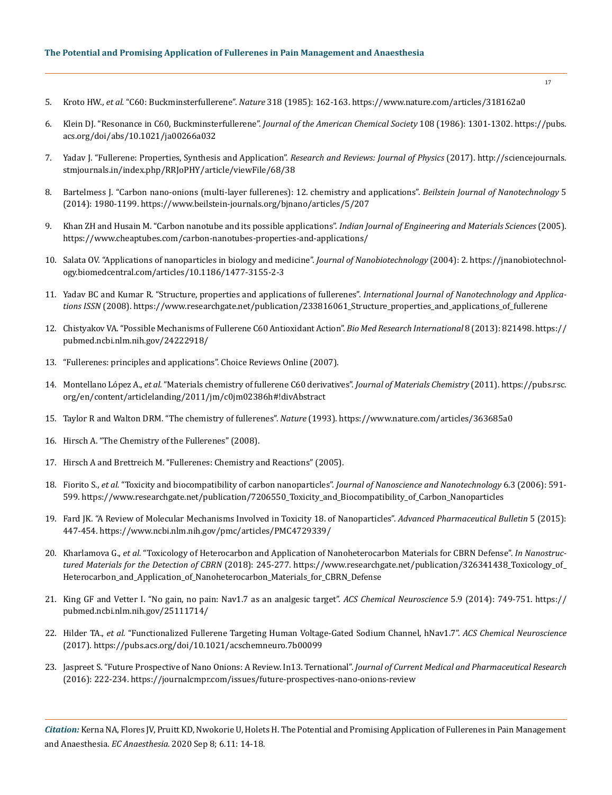- 5. Kroto HW., *et al.* ["C60: Buckminsterfullerene".](https://www.nature.com/articles/318162a0) *Nature* 318 (1985): 162-163. https://www.nature.com/articles/318162a0
- 6. [Klein DJ. "Resonance in C60, Buckminsterfullerene".](https://pubs.acs.org/doi/abs/10.1021/ja00266a032) *Journal of the American Chemical Society* 108 (1986): 1301-1302. https://pubs. acs.org/doi/abs/10.1021/ja00266a032
- 7. [Yadav J. "Fullerene: Properties, Synthesis and Application".](http://sciencejournals.stmjournals.in/index.php/RRJoPHY/article/viewFile/68/38) *Research and Reviews: Journal of Physics* (2017). http://sciencejournals. stmjournals.in/index.php/RRJoPHY/article/viewFile/68/38
- 8. [Bartelmess J. "Carbon nano-onions \(multi-layer fullerenes\): 12. chemistry and applications".](https://www.beilstein-journals.org/bjnano/articles/5/207) *Beilstein Journal of Nanotechnology* 5 [\(2014\): 1980-1199.](https://www.beilstein-journals.org/bjnano/articles/5/207) https://www.beilstein-journals.org/bjnano/articles/5/207
- 9. [Khan ZH and Husain M. "Carbon nanotube and its possible applications".](https://www.cheaptubes.com/carbon-nanotubes-properties-and-applications/) *Indian Journal of Engineering and Materials Sciences* (2005). https://www.cheaptubes.com/carbon-nanotubes-properties-and-applications/
- 10. [Salata OV. "Applications of nanoparticles in biology and medicine".](https://jnanobiotechnology.biomedcentral.com/articles/10.1186/1477-3155-2-3) *Journal of Nanobiotechnology* (2004): 2. https://jnanobiotechnology.biomedcentral.com/articles/10.1186/1477-3155-2-3
- 11. [Yadav BC and Kumar R. "Structure, properties and applications of fullerenes".](https://www.researchgate.net/publication/233816061_Structure_properties_and_applications_of_fullerene) *International Journal of Nanotechnology and Applica[tions ISSN](https://www.researchgate.net/publication/233816061_Structure_properties_and_applications_of_fullerene)* (2008). https://www.researchgate.net/publication/233816061\_Structure\_properties\_and\_applications\_of\_fullerene
- 12. [Chistyakov VA. "Possible Mechanisms of Fullerene C60 Antioxidant Action".](https://pubmed.ncbi.nlm.nih.gov/24222918/) *Bio Med Research International* 8 (2013): 821498. https:// pubmed.ncbi.nlm.nih.gov/24222918/
- 13. "Fullerenes: principles and applications". Choice Reviews Online (2007).
- 14. Montellano López A., *et al.* "Materials chemistry of fullerene C60 derivatives". *Journal of Materials Chemistry* (2011). https://pubs.rsc. org/en/content/articlelanding/2011/jm/c0jm02386h#!divAbstract
- 15. [Taylor R and Walton DRM. "The chemistry of fullerenes".](https://www.nature.com/articles/363685a0) *Nature* (1993). https://www.nature.com/articles/363685a0
- 16. Hirsch A. "The Chemistry of the Fullerenes" (2008).
- 17. Hirsch A and Brettreich M. "Fullerenes: Chemistry and Reactions" (2005).
- 18. Fiorito S., *et al.* ["Toxicity and biocompatibility of carbon nanoparticles".](https://www.researchgate.net/publication/7206550_Toxicity_and_Biocompatibility_of_Carbon_Nanoparticles) *Journal of Nanoscience and Nanotechnology* 6.3 (2006): 591- [599.](https://www.researchgate.net/publication/7206550_Toxicity_and_Biocompatibility_of_Carbon_Nanoparticles) https://www.researchgate.net/publication/7206550\_Toxicity\_and\_Biocompatibility\_of\_Carbon\_Nanoparticles
- 19. [Fard JK. "A Review of Molecular Mechanisms Involved in Toxicity 18. of Nanoparticles".](https://www.ncbi.nlm.nih.gov/pmc/articles/PMC4729339/) *Advanced Pharmaceutical Bulletin* 5 (2015): [447-454.](https://www.ncbi.nlm.nih.gov/pmc/articles/PMC4729339/) https://www.ncbi.nlm.nih.gov/pmc/articles/PMC4729339/
- 20. Kharlamova G., *et al.* ["Toxicology of Heterocarbon and Application of Nanoheterocarbon Materials for CBRN Defense".](https://www.researchgate.net/publication/326341438_Toxicology_of_Heterocarbon_and_Application_of_Nanoheterocarbon_Materials_for_CBRN_Defense) *In Nanostruc[tured Materials for the Detection of CBRN](https://www.researchgate.net/publication/326341438_Toxicology_of_Heterocarbon_and_Application_of_Nanoheterocarbon_Materials_for_CBRN_Defense)* (2018): 245-277. https://www.researchgate.net/publication/326341438\_Toxicology\_of\_ Heterocarbon\_and\_Application\_of\_Nanoheterocarbon\_Materials\_for\_CBRN\_Defense
- 21. [King GF and Vetter I. "No gain, no pain: Nav1.7 as an analgesic target".](file:///F:/Not%20Uploaded/ECAN/ECCY-20-MRW-271--in%20ECAN/King%20GF%20and%20Vetter%20I.%20) *ACS Chemical Neuroscience* 5.9 (2014): 749-751. https:// pubmed.ncbi.nlm.nih.gov/25111714/
- 22. Hilder TA., *et al.* ["Functionalized Fullerene Targeting Human Voltage-Gated Sodium Channel, hNav1.7".](https://pubs.acs.org/doi/10.1021/acschemneuro.7b00099) *ACS Chemical Neuroscience* [\(2017\).](https://pubs.acs.org/doi/10.1021/acschemneuro.7b00099) https://pubs.acs.org/doi/10.1021/acschemneuro.7b00099
- 23. [Jaspreet S. "Future Prospective of Nano Onions: A Review. In13. Ternational".](https://journalcmpr.com/issues/future-prospectives-nano-onions-review) *Journal of Current Medical and Pharmaceutical Research* [\(2016\): 222-234.](https://journalcmpr.com/issues/future-prospectives-nano-onions-review) https://journalcmpr.com/issues/future-prospectives-nano-onions-review

*Citation:* Kerna NA, Flores JV, Pruitt KD, Nwokorie U, Holets H. The Potential and Promising Application of Fullerenes in Pain Management and Anaesthesia. *EC Anaesthesia.* 2020 Sep 8; 6.11: 14-18.